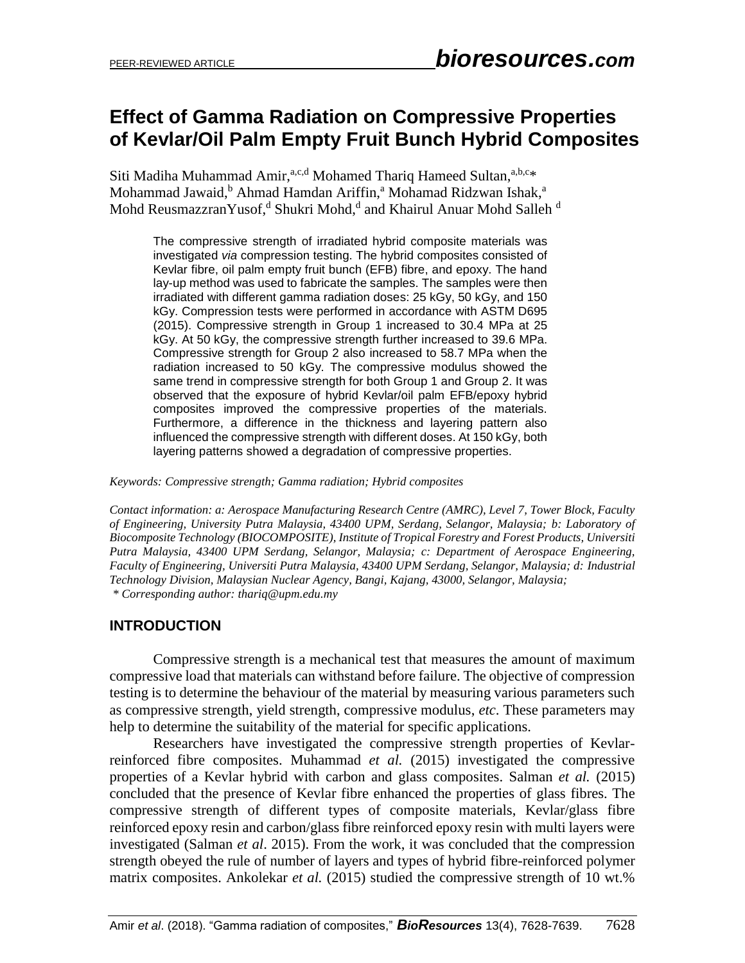# **Effect of Gamma Radiation on Compressive Properties of Kevlar/Oil Palm Empty Fruit Bunch Hybrid Composites**

Siti Madiha Muhammad Amir, a,c,d Mohamed Thariq Hameed Sultan, a,b,c\* Mohammad Jawaid,<sup>b</sup> Ahmad Hamdan Ariffin,<sup>a</sup> Mohamad Ridzwan Ishak,<sup>a</sup> Mohd ReusmazzranYusof,<sup>d</sup> Shukri Mohd,<sup>d</sup> and Khairul Anuar Mohd Salleh <sup>d</sup>

The compressive strength of irradiated hybrid composite materials was investigated *via* compression testing. The hybrid composites consisted of Kevlar fibre, oil palm empty fruit bunch (EFB) fibre, and epoxy. The hand lay-up method was used to fabricate the samples. The samples were then irradiated with different gamma radiation doses: 25 kGy, 50 kGy, and 150 kGy. Compression tests were performed in accordance with ASTM D695 (2015). Compressive strength in Group 1 increased to 30.4 MPa at 25 kGy. At 50 kGy, the compressive strength further increased to 39.6 MPa. Compressive strength for Group 2 also increased to 58.7 MPa when the radiation increased to 50 kGy. The compressive modulus showed the same trend in compressive strength for both Group 1 and Group 2. It was observed that the exposure of hybrid Kevlar/oil palm EFB/epoxy hybrid composites improved the compressive properties of the materials. Furthermore, a difference in the thickness and layering pattern also influenced the compressive strength with different doses. At 150 kGy, both layering patterns showed a degradation of compressive properties.

*Keywords: Compressive strength; Gamma radiation; Hybrid composites*

*Contact information: a: Aerospace Manufacturing Research Centre (AMRC), Level 7, Tower Block, Faculty of Engineering, University Putra Malaysia, 43400 UPM, Serdang, Selangor, Malaysia; b: Laboratory of Biocomposite Technology (BIOCOMPOSITE), Institute of Tropical Forestry and Forest Products, Universiti Putra Malaysia, 43400 UPM Serdang, Selangor, Malaysia; c: Department of Aerospace Engineering, Faculty of Engineering, Universiti Putra Malaysia, 43400 UPM Serdang, Selangor, Malaysia; d: Industrial Technology Division, Malaysian Nuclear Agency, Bangi, Kajang, 43000, Selangor, Malaysia; \* Corresponding author[: thariq@upm.edu.my](mailto:thariq@upm.edu.my)*

### **INTRODUCTION**

Compressive strength is a mechanical test that measures the amount of maximum compressive load that materials can withstand before failure. The objective of compression testing is to determine the behaviour of the material by measuring various parameters such as compressive strength, yield strength, compressive modulus, *etc*. These parameters may help to determine the suitability of the material for specific applications.

Researchers have investigated the compressive strength properties of Kevlarreinforced fibre composites. Muhammad *et al.* (2015) investigated the compressive properties of a Kevlar hybrid with carbon and glass composites. Salman *et al.* (2015) concluded that the presence of Kevlar fibre enhanced the properties of glass fibres. The compressive strength of different types of composite materials, Kevlar/glass fibre reinforced epoxy resin and carbon/glass fibre reinforced epoxy resin with multi layers were investigated (Salman *et al*. 2015). From the work, it was concluded that the compression strength obeyed the rule of number of layers and types of hybrid fibre-reinforced polymer matrix composites. Ankolekar *et al.* (2015) studied the compressive strength of 10 wt.%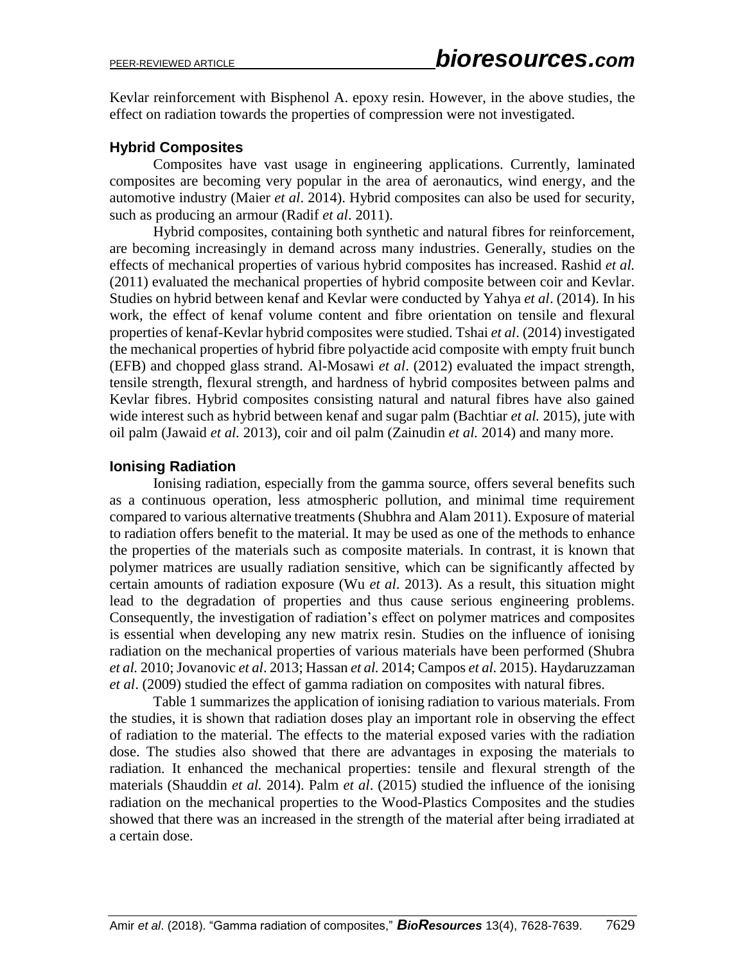Kevlar reinforcement with Bisphenol A. epoxy resin. However, in the above studies, the effect on radiation towards the properties of compression were not investigated.

# **Hybrid Composites**

Composites have vast usage in engineering applications. Currently, laminated composites are becoming very popular in the area of aeronautics, wind energy, and the automotive industry (Maier *et al*. 2014). Hybrid composites can also be used for security, such as producing an armour (Radif *et al*. 2011).

Hybrid composites, containing both synthetic and natural fibres for reinforcement, are becoming increasingly in demand across many industries. Generally, studies on the effects of mechanical properties of various hybrid composites has increased. Rashid *et al.* (2011) evaluated the mechanical properties of hybrid composite between coir and Kevlar. Studies on hybrid between kenaf and Kevlar were conducted by Yahya *et al*. (2014). In his work, the effect of kenaf volume content and fibre orientation on tensile and flexural properties of kenaf-Kevlar hybrid composites were studied. Tshai *et al*. (2014) investigated the mechanical properties of hybrid fibre polyactide acid composite with empty fruit bunch (EFB) and chopped glass strand. Al-Mosawi *et al*. (2012) evaluated the impact strength, tensile strength, flexural strength, and hardness of hybrid composites between palms and Kevlar fibres. Hybrid composites consisting natural and natural fibres have also gained wide interest such as hybrid between kenaf and sugar palm (Bachtiar *et al.* 2015), jute with oil palm (Jawaid *et al.* 2013), coir and oil palm (Zainudin *et al.* 2014) and many more.

# **Ionising Radiation**

Ionising radiation, especially from the gamma source, offers several benefits such as a continuous operation, less atmospheric pollution, and minimal time requirement compared to various alternative treatments (Shubhra and Alam 2011). Exposure of material to radiation offers benefit to the material. It may be used as one of the methods to enhance the properties of the materials such as composite materials. In contrast, it is known that polymer matrices are usually radiation sensitive, which can be significantly affected by certain amounts of radiation exposure (Wu *et al*. 2013). As a result, this situation might lead to the degradation of properties and thus cause serious engineering problems. Consequently, the investigation of radiation's effect on polymer matrices and composites is essential when developing any new matrix resin. Studies on the influence of ionising radiation on the mechanical properties of various materials have been performed (Shubra *et al.* 2010; Jovanovic *et al*. 2013; Hassan *et al.* 2014; Campos *et al.* 2015). Haydaruzzaman *et al*. (2009) studied the effect of gamma radiation on composites with natural fibres.

Table 1 summarizes the application of ionising radiation to various materials. From the studies, it is shown that radiation doses play an important role in observing the effect of radiation to the material. The effects to the material exposed varies with the radiation dose. The studies also showed that there are advantages in exposing the materials to radiation. It enhanced the mechanical properties: tensile and flexural strength of the materials (Shauddin *et al.* 2014). Palm *et al*. (2015) studied the influence of the ionising radiation on the mechanical properties to the Wood-Plastics Composites and the studies showed that there was an increased in the strength of the material after being irradiated at a certain dose.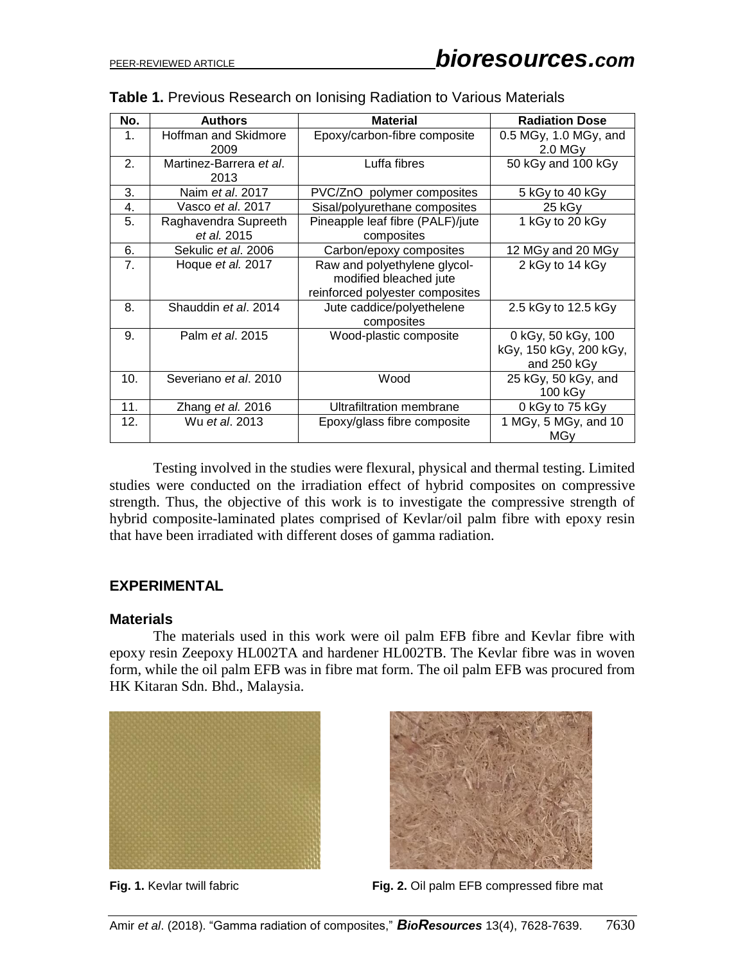| No. | <b>Authors</b>                      | <b>Material</b>                                                                           | <b>Radiation Dose</b>                                       |
|-----|-------------------------------------|-------------------------------------------------------------------------------------------|-------------------------------------------------------------|
| 1.  | Hoffman and Skidmore<br>2009        | Epoxy/carbon-fibre composite                                                              | $0.5$ MGy, 1.0 MGy, and<br>$2.0$ MGy                        |
| 2.  | Martinez-Barrera et al.<br>2013     | Luffa fibres                                                                              | 50 kGy and 100 kGy                                          |
| 3.  | Naim et al. 2017                    | PVC/ZnO polymer composites                                                                | 5 kGy to 40 kGy                                             |
| 4.  | Vasco et al. 2017                   | Sisal/polyurethane composites                                                             | 25 kGy                                                      |
| 5.  | Raghavendra Supreeth<br>et al. 2015 | Pineapple leaf fibre (PALF)/jute<br>composites                                            | 1 kGy to 20 kGy                                             |
| 6.  | Sekulic et al. 2006                 | Carbon/epoxy composites                                                                   | 12 MGy and 20 MGy                                           |
| 7.  | Hoque et al. 2017                   | Raw and polyethylene glycol-<br>modified bleached jute<br>reinforced polyester composites | 2 kGy to 14 kGy                                             |
| 8.  | Shauddin et al. 2014                | Jute caddice/polyethelene<br>composites                                                   | 2.5 kGy to 12.5 kGy                                         |
| 9.  | Palm <i>et al.</i> 2015             | Wood-plastic composite                                                                    | 0 kGy, 50 kGy, 100<br>kGy, 150 kGy, 200 kGy,<br>and 250 kGy |
| 10. | Severiano et al. 2010               | Wood                                                                                      | 25 kGy, 50 kGy, and<br>100 kGy                              |
| 11. | Zhang et al. 2016                   | Ultrafiltration membrane                                                                  | 0 kGy to 75 kGy                                             |
| 12. | Wu et al. 2013                      | Epoxy/glass fibre composite                                                               | 1 MGy, 5 MGy, and 10<br><b>MGy</b>                          |

#### **Table 1.** Previous Research on Ionising Radiation to Various Materials

Testing involved in the studies were flexural, physical and thermal testing. Limited studies were conducted on the irradiation effect of hybrid composites on compressive strength. Thus, the objective of this work is to investigate the compressive strength of hybrid composite-laminated plates comprised of Kevlar/oil palm fibre with epoxy resin that have been irradiated with different doses of gamma radiation.

#### **EXPERIMENTAL**

#### **Materials**

The materials used in this work were oil palm EFB fibre and Kevlar fibre with epoxy resin Zeepoxy HL002TA and hardener HL002TB. The Kevlar fibre was in woven form, while the oil palm EFB was in fibre mat form. The oil palm EFB was procured from HK Kitaran Sdn. Bhd., Malaysia.





**Fig. 1.** Kevlar twill fabric **Fig. 2.** Oil palm EFB compressed fibre mat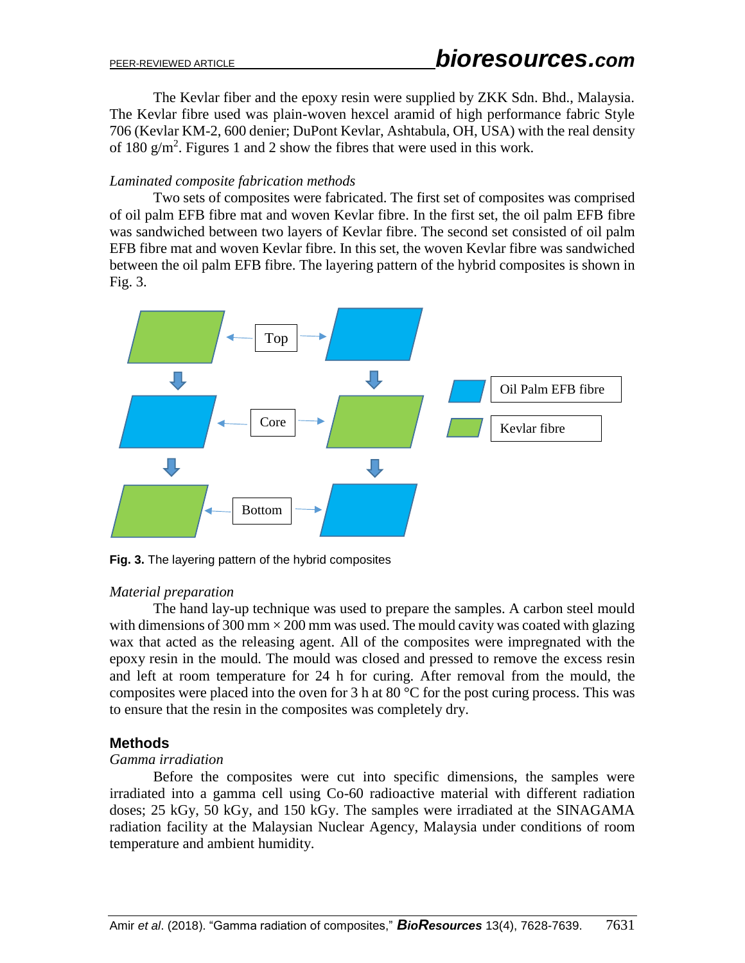The Kevlar fiber and the epoxy resin were supplied by ZKK Sdn. Bhd., Malaysia. The Kevlar fibre used was plain-woven hexcel aramid of high performance fabric Style 706 (Kevlar KM-2, 600 denier; DuPont Kevlar, Ashtabula, OH, USA) with the real density of 180  $g/m^2$ . Figures 1 and 2 show the fibres that were used in this work.

#### *Laminated composite fabrication methods*

Two sets of composites were fabricated. The first set of composites was comprised of oil palm EFB fibre mat and woven Kevlar fibre. In the first set, the oil palm EFB fibre was sandwiched between two layers of Kevlar fibre. The second set consisted of oil palm EFB fibre mat and woven Kevlar fibre. In this set, the woven Kevlar fibre was sandwiched between the oil palm EFB fibre. The layering pattern of the hybrid composites is shown in Fig. 3.



**Fig. 3.** The layering pattern of the hybrid composites

### *Material preparation*

The hand lay-up technique was used to prepare the samples. A carbon steel mould with dimensions of 300 mm  $\times$  200 mm was used. The mould cavity was coated with glazing wax that acted as the releasing agent. All of the composites were impregnated with the epoxy resin in the mould. The mould was closed and pressed to remove the excess resin and left at room temperature for 24 h for curing. After removal from the mould, the composites were placed into the oven for 3 h at 80  $^{\circ}$ C for the post curing process. This was to ensure that the resin in the composites was completely dry.

# **Methods**

### *Gamma irradiation*

Before the composites were cut into specific dimensions, the samples were irradiated into a gamma cell using Co-60 radioactive material with different radiation doses; 25 kGy, 50 kGy, and 150 kGy. The samples were irradiated at the SINAGAMA radiation facility at the Malaysian Nuclear Agency, Malaysia under conditions of room temperature and ambient humidity.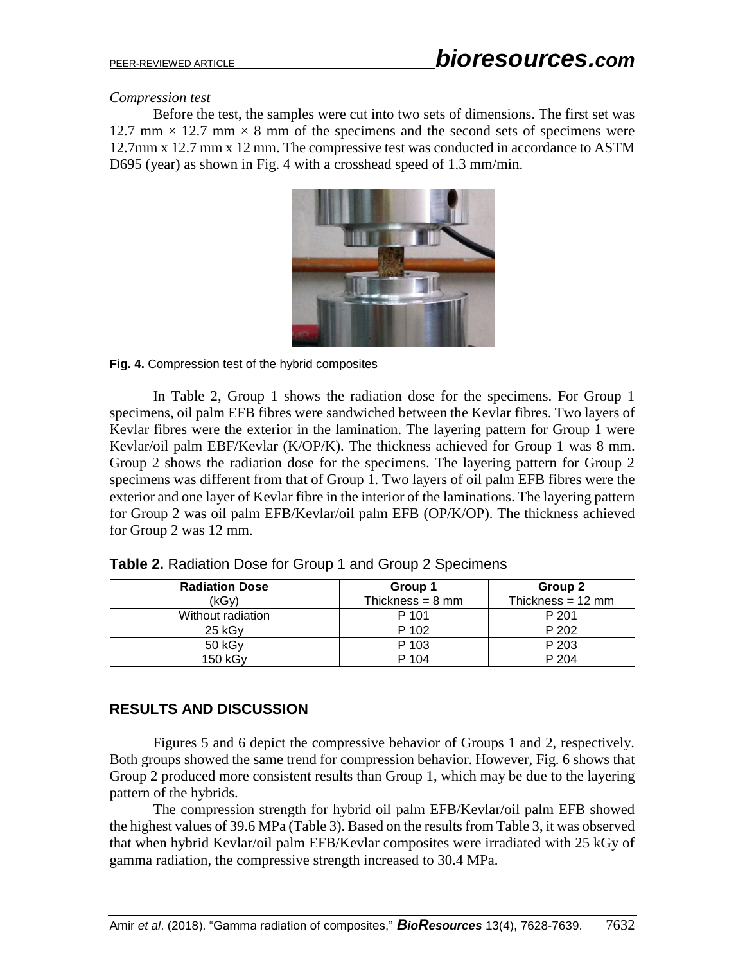#### *Compression test*

Before the test, the samples were cut into two sets of dimensions. The first set was 12.7 mm  $\times$  12.7 mm  $\times$  8 mm of the specimens and the second sets of specimens were 12.7mm x 12.7 mm x 12 mm. The compressive test was conducted in accordance to ASTM D695 (year) as shown in Fig. 4 with a crosshead speed of 1.3 mm/min.



#### **Fig. 4.** Compression test of the hybrid composites

In Table 2, Group 1 shows the radiation dose for the specimens. For Group 1 specimens, oil palm EFB fibres were sandwiched between the Kevlar fibres. Two layers of Kevlar fibres were the exterior in the lamination. The layering pattern for Group 1 were Kevlar/oil palm EBF/Kevlar (K/OP/K). The thickness achieved for Group 1 was 8 mm. Group 2 shows the radiation dose for the specimens. The layering pattern for Group 2 specimens was different from that of Group 1. Two layers of oil palm EFB fibres were the exterior and one layer of Kevlar fibre in the interior of the laminations. The layering pattern for Group 2 was oil palm EFB/Kevlar/oil palm EFB (OP/K/OP). The thickness achieved for Group 2 was 12 mm.

| <b>Radiation Dose</b> | Group 1                    | Group 2                     |
|-----------------------|----------------------------|-----------------------------|
| (kGv)                 | Thickness = $8 \text{ mm}$ | Thickness = $12 \text{ mm}$ |
| Without radiation     | P 101                      | P 201                       |
| $25$ kGy              | P 102                      | P 202                       |
| $50$ kGy              | P 103                      | P 203                       |
| 150 kGy               | P 104                      | P 204                       |

**Table 2.** Radiation Dose for Group 1 and Group 2 Specimens

# **RESULTS AND DISCUSSION**

Figures 5 and 6 depict the compressive behavior of Groups 1 and 2, respectively. Both groups showed the same trend for compression behavior. However, Fig. 6 shows that Group 2 produced more consistent results than Group 1, which may be due to the layering pattern of the hybrids.

The compression strength for hybrid oil palm EFB/Kevlar/oil palm EFB showed the highest values of 39.6 MPa (Table 3). Based on the results from Table 3, it was observed that when hybrid Kevlar/oil palm EFB/Kevlar composites were irradiated with 25 kGy of gamma radiation, the compressive strength increased to 30.4 MPa.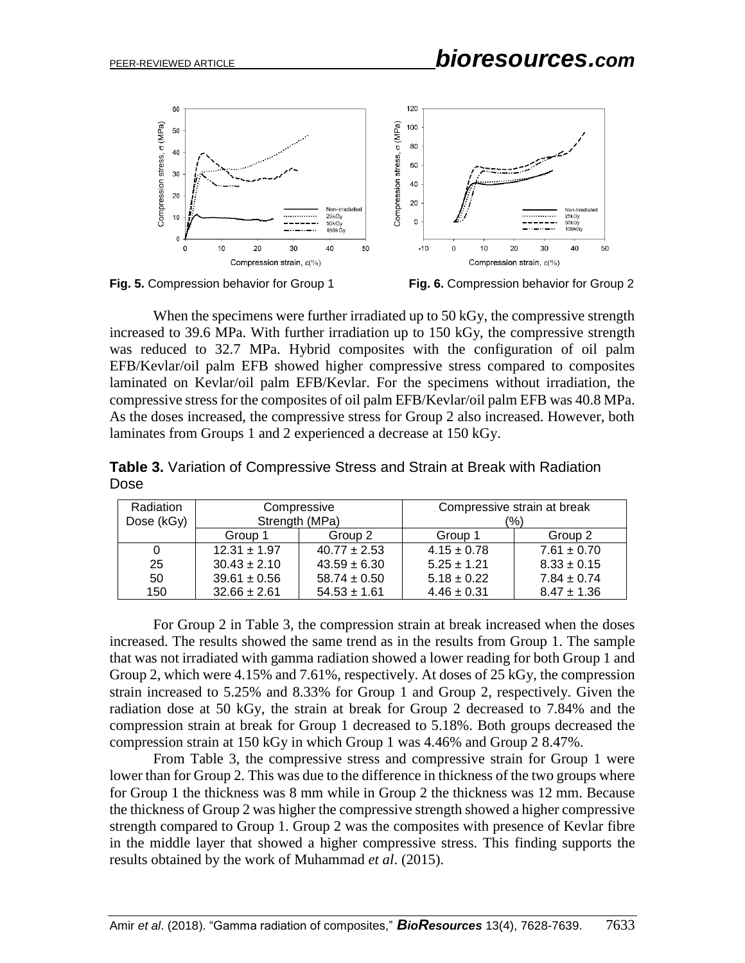



When the specimens were further irradiated up to 50 kGy, the compressive strength increased to 39.6 MPa. With further irradiation up to 150 kGy, the compressive strength was reduced to 32.7 MPa. Hybrid composites with the configuration of oil palm EFB/Kevlar/oil palm EFB showed higher compressive stress compared to composites laminated on Kevlar/oil palm EFB/Kevlar. For the specimens without irradiation, the compressive stress for the composites of oil palm EFB/Kevlar/oil palm EFB was 40.8 MPa. As the doses increased, the compressive stress for Group 2 also increased. However, both laminates from Groups 1 and 2 experienced a decrease at 150 kGy.

| Radiation  | Compressive      |                  | Compressive strain at break |                 |
|------------|------------------|------------------|-----------------------------|-----------------|
| Dose (kGy) | Strength (MPa)   |                  | (%)                         |                 |
|            | Group 1          | Group 2          | Group 1                     | Group 2         |
| 0          | $12.31 \pm 1.97$ | $40.77 \pm 2.53$ | $4.15 \pm 0.78$             | $7.61 \pm 0.70$ |
| 25         | $30.43 \pm 2.10$ | $43.59 \pm 6.30$ | $5.25 \pm 1.21$             | $8.33 \pm 0.15$ |
| 50         | $39.61 \pm 0.56$ | $58.74 \pm 0.50$ | $5.18 \pm 0.22$             | $7.84 \pm 0.74$ |
| 150        | $32.66 \pm 2.61$ | $54.53 \pm 1.61$ | $4.46 \pm 0.31$             | $8.47 \pm 1.36$ |

**Table 3.** Variation of Compressive Stress and Strain at Break with Radiation Dose

For Group 2 in Table 3, the compression strain at break increased when the doses increased. The results showed the same trend as in the results from Group 1. The sample that was not irradiated with gamma radiation showed a lower reading for both Group 1 and Group 2, which were 4.15% and 7.61%, respectively. At doses of 25 kGy, the compression strain increased to 5.25% and 8.33% for Group 1 and Group 2, respectively. Given the radiation dose at 50 kGy, the strain at break for Group 2 decreased to 7.84% and the compression strain at break for Group 1 decreased to 5.18%. Both groups decreased the compression strain at 150 kGy in which Group 1 was 4.46% and Group 2 8.47%.

From Table 3, the compressive stress and compressive strain for Group 1 were lower than for Group 2. This was due to the difference in thickness of the two groups where for Group 1 the thickness was 8 mm while in Group 2 the thickness was 12 mm. Because the thickness of Group 2 was higher the compressive strength showed a higher compressive strength compared to Group 1. Group 2 was the composites with presence of Kevlar fibre in the middle layer that showed a higher compressive stress. This finding supports the results obtained by the work of Muhammad *et al*. (2015).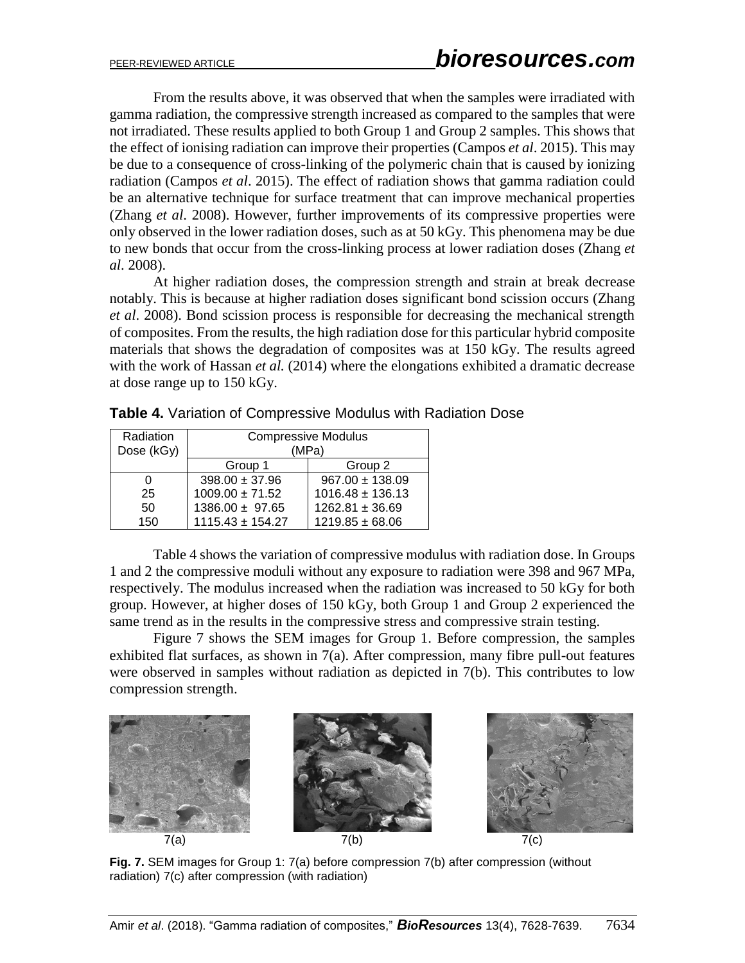From the results above, it was observed that when the samples were irradiated with gamma radiation, the compressive strength increased as compared to the samples that were not irradiated. These results applied to both Group 1 and Group 2 samples. This shows that the effect of ionising radiation can improve their properties (Campos *et al*. 2015). This may be due to a consequence of cross-linking of the polymeric chain that is caused by ionizing radiation (Campos *et al*. 2015). The effect of radiation shows that gamma radiation could be an alternative technique for surface treatment that can improve mechanical properties (Zhang *et al*. 2008). However, further improvements of its compressive properties were only observed in the lower radiation doses, such as at 50 kGy. This phenomena may be due to new bonds that occur from the cross-linking process at lower radiation doses (Zhang *et al*. 2008).

At higher radiation doses, the compression strength and strain at break decrease notably. This is because at higher radiation doses significant bond scission occurs (Zhang *et al*. 2008). Bond scission process is responsible for decreasing the mechanical strength of composites. From the results, the high radiation dose for this particular hybrid composite materials that shows the degradation of composites was at 150 kGy. The results agreed with the work of Hassan *et al.* (2014) where the elongations exhibited a dramatic decrease at dose range up to 150 kGy.

| Radiation<br>Dose (kGy) | <b>Compressive Modulus</b><br>(MPa) |                      |  |
|-------------------------|-------------------------------------|----------------------|--|
|                         | Group 1                             | Group 2              |  |
|                         | $398.00 \pm 37.96$                  | $967.00 \pm 138.09$  |  |
| 25                      | $1009.00 \pm 71.52$                 | $1016.48 \pm 136.13$ |  |
| 50                      | $1386.00 \pm 97.65$                 | $1262.81 \pm 36.69$  |  |
| 150                     | $1115.43 \pm 154.27$                | $1219.85 \pm 68.06$  |  |

**Table 4.** Variation of Compressive Modulus with Radiation Dose

Table 4 shows the variation of compressive modulus with radiation dose. In Groups 1 and 2 the compressive moduli without any exposure to radiation were 398 and 967 MPa, respectively. The modulus increased when the radiation was increased to 50 kGy for both group. However, at higher doses of 150 kGy, both Group 1 and Group 2 experienced the same trend as in the results in the compressive stress and compressive strain testing.

Figure 7 shows the SEM images for Group 1. Before compression, the samples exhibited flat surfaces, as shown in 7(a). After compression, many fibre pull-out features were observed in samples without radiation as depicted in 7(b). This contributes to low compression strength.



**Fig. 7.** SEM images for Group 1: 7(a) before compression 7(b) after compression (without radiation) 7(c) after compression (with radiation)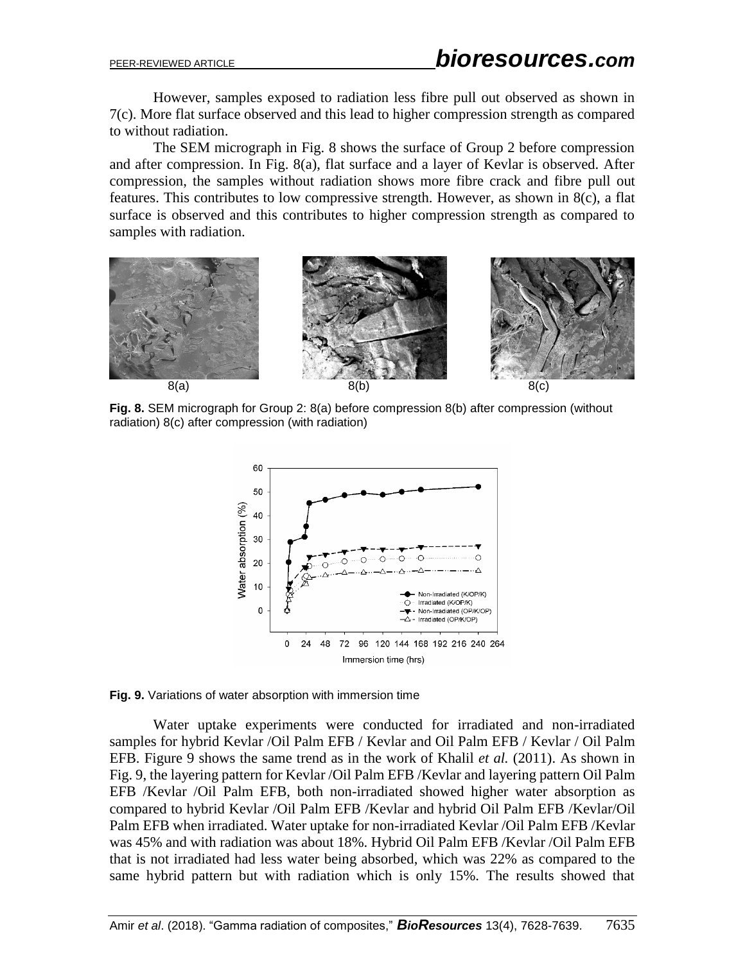However, samples exposed to radiation less fibre pull out observed as shown in 7(c). More flat surface observed and this lead to higher compression strength as compared to without radiation.

The SEM micrograph in Fig. 8 shows the surface of Group 2 before compression and after compression. In Fig. 8(a), flat surface and a layer of Kevlar is observed. After compression, the samples without radiation shows more fibre crack and fibre pull out features. This contributes to low compressive strength. However, as shown in 8(c), a flat surface is observed and this contributes to higher compression strength as compared to samples with radiation.



**Fig. 8.** SEM micrograph for Group 2: 8(a) before compression 8(b) after compression (without radiation) 8(c) after compression (with radiation)



**Fig. 9.** Variations of water absorption with immersion time

Water uptake experiments were conducted for irradiated and non-irradiated samples for hybrid Kevlar /Oil Palm EFB / Kevlar and Oil Palm EFB / Kevlar / Oil Palm EFB. Figure 9 shows the same trend as in the work of Khalil *et al.* (2011). As shown in Fig. 9, the layering pattern for Kevlar /Oil Palm EFB /Kevlar and layering pattern Oil Palm EFB /Kevlar /Oil Palm EFB, both non-irradiated showed higher water absorption as compared to hybrid Kevlar /Oil Palm EFB /Kevlar and hybrid Oil Palm EFB /Kevlar/Oil Palm EFB when irradiated. Water uptake for non-irradiated Kevlar /Oil Palm EFB /Kevlar was 45% and with radiation was about 18%. Hybrid Oil Palm EFB /Kevlar /Oil Palm EFB that is not irradiated had less water being absorbed, which was 22% as compared to the same hybrid pattern but with radiation which is only 15%. The results showed that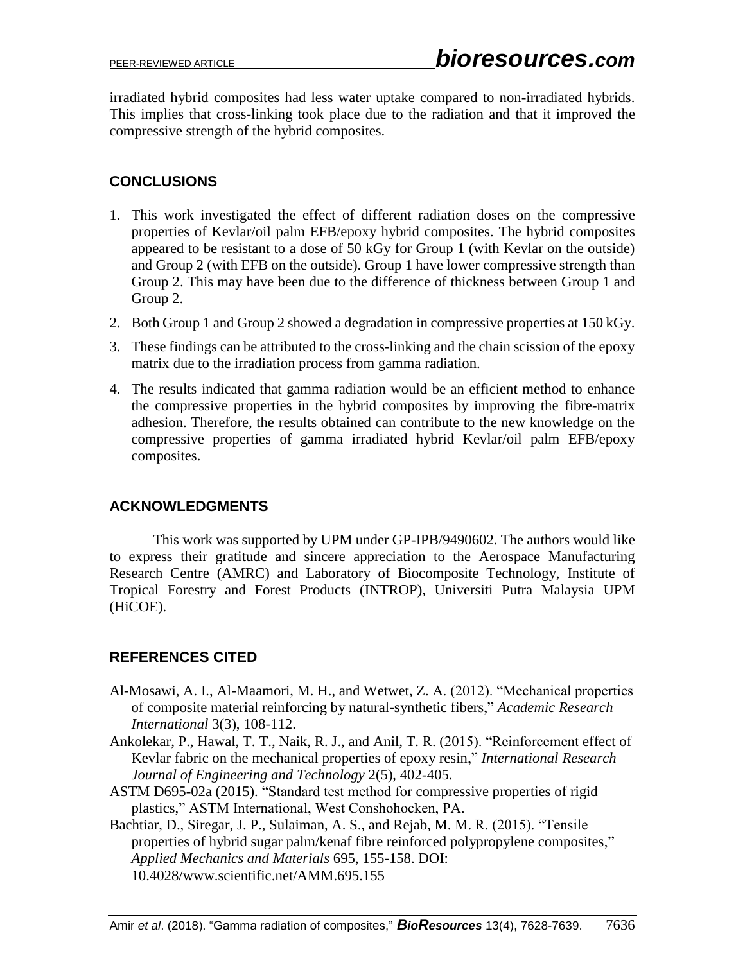irradiated hybrid composites had less water uptake compared to non-irradiated hybrids. This implies that cross-linking took place due to the radiation and that it improved the compressive strength of the hybrid composites.

# **CONCLUSIONS**

- 1. This work investigated the effect of different radiation doses on the compressive properties of Kevlar/oil palm EFB/epoxy hybrid composites. The hybrid composites appeared to be resistant to a dose of 50 kGy for Group 1 (with Kevlar on the outside) and Group 2 (with EFB on the outside). Group 1 have lower compressive strength than Group 2. This may have been due to the difference of thickness between Group 1 and Group 2.
- 2. Both Group 1 and Group 2 showed a degradation in compressive properties at 150 kGy.
- 3. These findings can be attributed to the cross-linking and the chain scission of the epoxy matrix due to the irradiation process from gamma radiation.
- 4. The results indicated that gamma radiation would be an efficient method to enhance the compressive properties in the hybrid composites by improving the fibre-matrix adhesion. Therefore, the results obtained can contribute to the new knowledge on the compressive properties of gamma irradiated hybrid Kevlar/oil palm EFB/epoxy composites.

# **ACKNOWLEDGMENTS**

This work was supported by UPM under GP-IPB/9490602. The authors would like to express their gratitude and sincere appreciation to the Aerospace Manufacturing Research Centre (AMRC) and Laboratory of Biocomposite Technology, Institute of Tropical Forestry and Forest Products (INTROP), Universiti Putra Malaysia UPM (HiCOE).

# **REFERENCES CITED**

- Al-Mosawi, A. I., Al-Maamori, M. H., and Wetwet, Z. A. (2012). "Mechanical properties of composite material reinforcing by natural-synthetic fibers," *Academic Research International* 3(3), 108-112.
- Ankolekar, P., Hawal, T. T., Naik, R. J., and Anil, T. R. (2015). "Reinforcement effect of Kevlar fabric on the mechanical properties of epoxy resin," *International Research Journal of Engineering and Technology* 2(5), 402-405.
- ASTM D695-02a (2015). "Standard test method for compressive properties of rigid plastics," ASTM International, West Conshohocken, PA.

Bachtiar, D., Siregar, J. P., Sulaiman, A. S., and Rejab, M. M. R. (2015). "Tensile properties of hybrid sugar palm/kenaf fibre reinforced polypropylene composites," *Applied Mechanics and Materials* 695, 155-158. DOI: 10.4028/www.scientific.net/AMM.695.155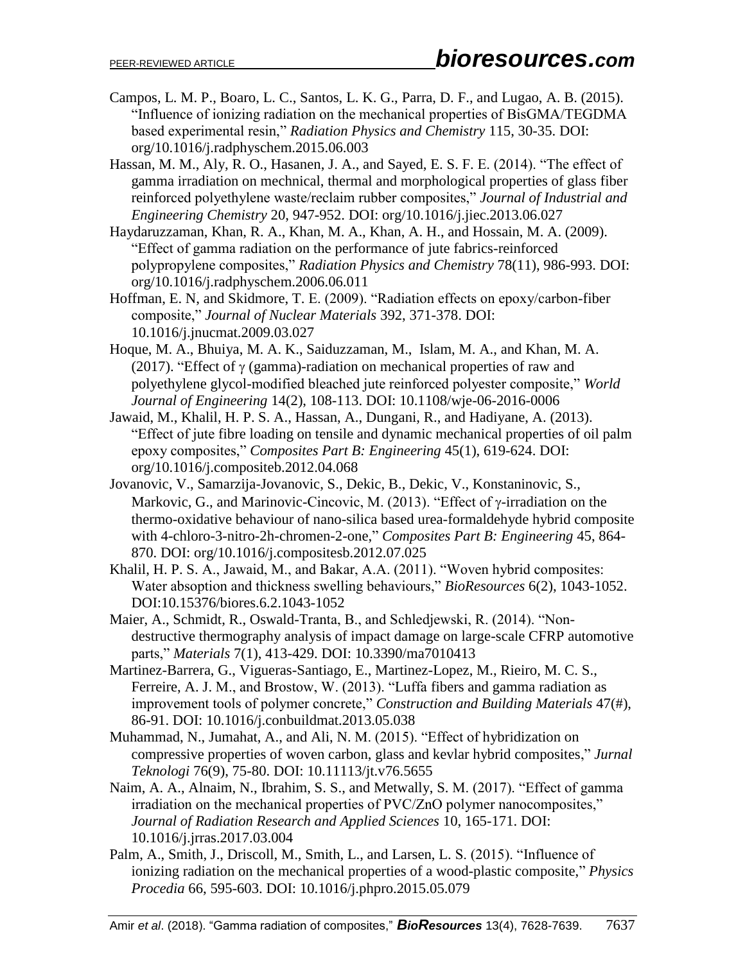- Campos, L. M. P., Boaro, L. C., Santos, L. K. G., Parra, D. F., and Lugao, A. B. (2015). "Influence of ionizing radiation on the mechanical properties of BisGMA/TEGDMA based experimental resin," *Radiation Physics and Chemistry* 115, 30-35. DOI: org/10.1016/j.radphyschem.2015.06.003
- Hassan, M. M., Aly, R. O., Hasanen, J. A., and Sayed, E. S. F. E. (2014). "The effect of gamma irradiation on mechnical, thermal and morphological properties of glass fiber reinforced polyethylene waste/reclaim rubber composites," *Journal of Industrial and Engineering Chemistry* 20, 947-952. DOI: org/10.1016/j.jiec.2013.06.027
- Haydaruzzaman, Khan, R. A., Khan, M. A., Khan, A. H., and Hossain, M. A. (2009). "Effect of gamma radiation on the performance of jute fabrics-reinforced polypropylene composites," *Radiation Physics and Chemistry* 78(11), 986-993. DOI: org/10.1016/j.radphyschem.2006.06.011
- Hoffman, E. N, and Skidmore, T. E. (2009). "Radiation effects on epoxy/carbon-fiber composite," *Journal of Nuclear Materials* 392, 371-378. DOI: 10.1016/j.jnucmat.2009.03.027
- Hoque, M. A., Bhuiya, M. A. K., Saiduzzaman, M., Islam, M. A., and Khan, M. A. (2017). "Effect of  $\gamma$  (gamma)-radiation on mechanical properties of raw and polyethylene glycol-modified bleached jute reinforced polyester composite," *World Journal of Engineering* 14(2), 108-113. DOI: 10.1108/wje-06-2016-0006
- Jawaid, M., Khalil, H. P. S. A., Hassan, A., Dungani, R., and Hadiyane, A. (2013). "Effect of jute fibre loading on tensile and dynamic mechanical properties of oil palm epoxy composites," *Composites Part B: Engineering* 45(1), 619-624. DOI: org/10.1016/j.compositeb.2012.04.068
- Jovanovic, V., Samarzija-Jovanovic, S., Dekic, B., Dekic, V., Konstaninovic, S., Markovic, G., and Marinovic-Cincovic, M. (2013). "Effect of  $\gamma$ -irradiation on the thermo-oxidative behaviour of nano-silica based urea-formaldehyde hybrid composite with 4-chloro-3-nitro-2h-chromen-2-one," *Composites Part B: Engineering* 45, 864- 870. DOI: org/10.1016/j.compositesb.2012.07.025
- Khalil, H. P. S. A., Jawaid, M., and Bakar, A.A. (2011). "Woven hybrid composites: Water absoption and thickness swelling behaviours," *BioResources* 6(2), 1043-1052. DOI:10.15376/biores.6.2.1043-1052
- Maier, A., Schmidt, R., Oswald-Tranta, B., and Schledjewski, R. (2014). "Nondestructive thermography analysis of impact damage on large-scale CFRP automotive parts," *Materials* 7(1), 413-429. DOI: 10.3390/ma7010413
- Martinez-Barrera, G., Vigueras-Santiago, E., Martinez-Lopez, M., Rieiro, M. C. S., Ferreire, A. J. M., and Brostow, W. (2013). "Luffa fibers and gamma radiation as improvement tools of polymer concrete," *Construction and Building Materials* 47(#), 86-91. DOI: 10.1016/j.conbuildmat.2013.05.038
- Muhammad, N., Jumahat, A., and Ali, N. M. (2015). "Effect of hybridization on compressive properties of woven carbon, glass and kevlar hybrid composites," *Jurnal Teknologi* 76(9), 75-80. DOI: 10.11113/jt.v76.5655
- Naim, A. A., Alnaim, N., Ibrahim, S. S., and Metwally, S. M. (2017). "Effect of gamma irradiation on the mechanical properties of PVC/ZnO polymer nanocomposites," *Journal of Radiation Research and Applied Sciences* 10, 165-171. [DOI:](https://dx.doi.org/10.1016/j.jrras.2017.03.004)  [10.1016/j.jrras.2017.03.004](https://dx.doi.org/10.1016/j.jrras.2017.03.004)
- Palm, A., Smith, J., Driscoll, M., Smith, L., and Larsen, L. S. (2015). "Influence of ionizing radiation on the mechanical properties of a wood-plastic composite," *Physics Procedia* 66, 595-603. DOI: 10.1016/j.phpro.2015.05.079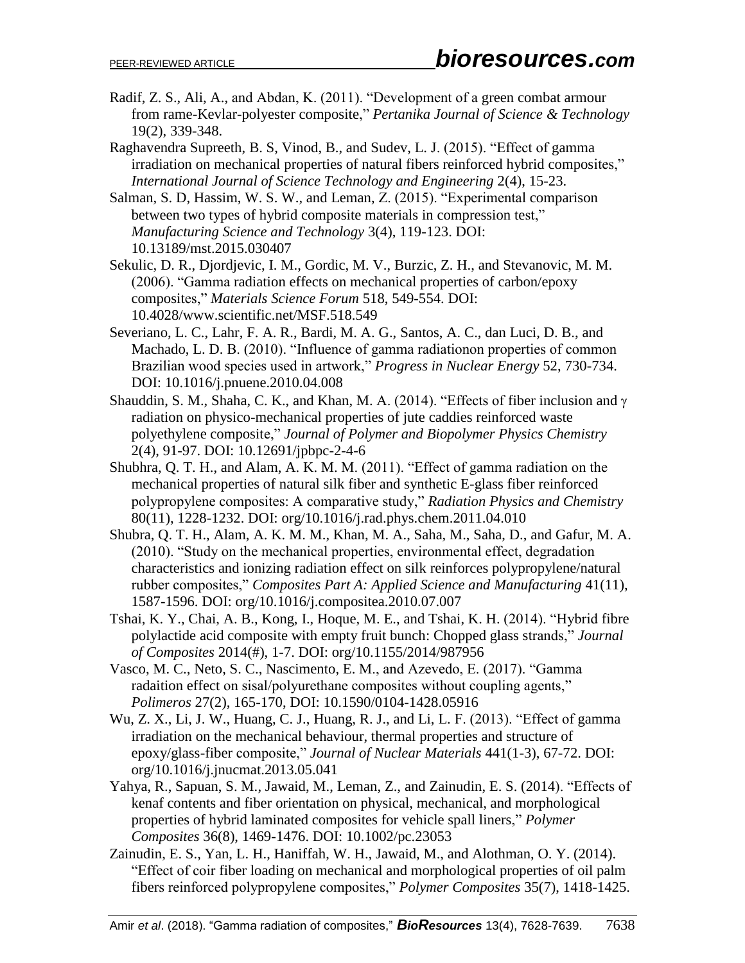Radif, Z. S., Ali, A., and Abdan, K. (2011). "Development of a green combat armour from rame-Kevlar-polyester composite," *Pertanika Journal of Science & Technology* 19(2), 339-348.

Raghavendra Supreeth, B. S, Vinod, B., and Sudev, L. J. (2015). "Effect of gamma irradiation on mechanical properties of natural fibers reinforced hybrid composites," *International Journal of Science Technology and Engineering* 2(4), 15-23.

Salman, S. D, Hassim, W. S. W., and Leman, Z. (2015). "Experimental comparison between two types of hybrid composite materials in compression test," *Manufacturing Science and Technology* 3(4), 119-123. DOI: 10.13189/mst.2015.030407

Sekulic, D. R., Djordjevic, I. M., Gordic, M. V., Burzic, Z. H., and Stevanovic, M. M. (2006). "Gamma radiation effects on mechanical properties of carbon/epoxy composites," *Materials Science Forum* 518, 549-554. DOI: 10.4028/www.scientific.net/MSF.518.549

- Severiano, L. C., Lahr, F. A. R., Bardi, M. A. G., Santos, A. C., dan Luci, D. B., and Machado, L. D. B. (2010). "Influence of gamma radiationon properties of common Brazilian wood species used in artwork," *Progress in Nuclear Energy* 52, 730-734. DOI: 10.1016/j.pnuene.2010.04.008
- Shauddin, S. M., Shaha, C. K., and Khan, M. A. (2014). "Effects of fiber inclusion and  $\gamma$ radiation on physico-mechanical properties of jute caddies reinforced waste polyethylene composite," *Journal of Polymer and Biopolymer Physics Chemistry* 2(4), 91-97. DOI: 10.12691/jpbpc-2-4-6
- Shubhra, Q. T. H., and Alam, A. K. M. M. (2011). "Effect of gamma radiation on the mechanical properties of natural silk fiber and synthetic E-glass fiber reinforced polypropylene composites: A comparative study," *Radiation Physics and Chemistry*  80(11), 1228-1232. DOI: org/10.1016/j.rad.phys.chem.2011.04.010
- Shubra, Q. T. H., Alam, A. K. M. M., Khan, M. A., Saha, M., Saha, D., and Gafur, M. A. (2010). "Study on the mechanical properties, environmental effect, degradation characteristics and ionizing radiation effect on silk reinforces polypropylene/natural rubber composites," *Composites Part A: Applied Science and Manufacturing* 41(11), 1587-1596. DOI: org/10.1016/j.compositea.2010.07.007
- Tshai, K. Y., Chai, A. B., Kong, I., Hoque, M. E., and Tshai, K. H. (2014). "Hybrid fibre polylactide acid composite with empty fruit bunch: Chopped glass strands," *Journal of Composites* 2014(#), 1-7. DOI: org/10.1155/2014/987956
- Vasco, M. C., Neto, S. C., Nascimento, E. M., and Azevedo, E. (2017). "Gamma radaition effect on sisal/polyurethane composites without coupling agents," *Polimeros* 27(2), 165-170, DOI: [10.1590/0104-1428.05916](http://dx.doi.org/10.1590/0104-1428.05916)
- Wu, Z. X., Li, J. W., Huang, C. J., Huang, R. J., and Li, L. F. (2013). "Effect of gamma irradiation on the mechanical behaviour, thermal properties and structure of epoxy/glass-fiber composite," *Journal of Nuclear Materials* 441(1-3), 67-72. DOI: org/10.1016/j.jnucmat.2013.05.041
- Yahya, R., Sapuan, S. M., Jawaid, M., Leman, Z., and Zainudin, E. S. (2014). "Effects of kenaf contents and fiber orientation on physical, mechanical, and morphological properties of hybrid laminated composites for vehicle spall liners," *Polymer Composites* 36(8), 1469-1476. DOI: 10.1002/pc.23053
- Zainudin, E. S., Yan, L. H., Haniffah, W. H., Jawaid, M., and Alothman, O. Y. (2014). "Effect of coir fiber loading on mechanical and morphological properties of oil palm fibers reinforced polypropylene composites," *Polymer Composites* 35(7), 1418-1425.